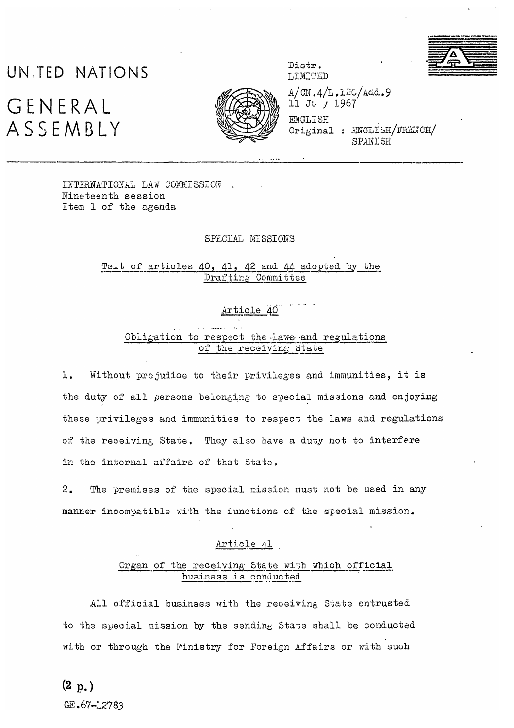# UNITED NATIONS

# GENERAL ASSEMBLY



Distr. LIMITED

 $A/CN.4/L.12C/Add.9$ 11 Ju r 1967

**ENGLISH** Original : ENGLISH/FRENCH/ SPANISH

INTERNATIONAL LAW COMMISSION Nineteenth session Item 1 of the agenda

#### SPECIAL MISSIONS

Tent of articles 40, 41, 42 and 44 adopted by the Drafting Committee

## Article 40

### Obligation to respect the laws and regulations of the receiving State

 $1.$ Without prejudice to their privileges and immunities, it is the duty of all persons belonging to special missions and enjoying these privileges and immunities to respect the laws and regulations of the receiving State. They also have a duty not to interfere in the internal affairs of that State.

 $2.$ The premises of the special mission must not be used in any manner incompatible with the functions of the special mission.

#### Article 41

#### Organ of the receiving State with which official business is conducted

All official business with the receiving State entrusted to the special mission by the sending State shall be conducted with or through the Finistry for Foreign Affairs or with such

GE.67-12783